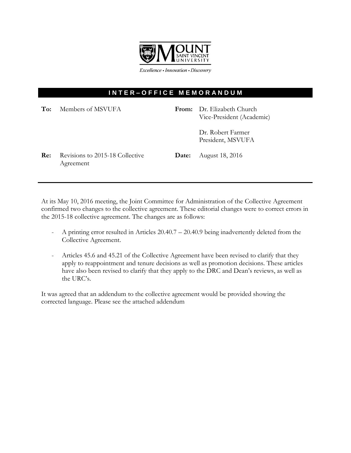

Excellence · Innovation · Discovery

## **I N T E R – O F F I C E M E M O R A N D U M**

| To: | Members of MSVUFA                            |       | From: Dr. Elizabeth Church<br>Vice-President (Academic) |
|-----|----------------------------------------------|-------|---------------------------------------------------------|
|     |                                              |       | Dr. Robert Farmer<br>President, MSVUFA                  |
| Re: | Revisions to 2015-18 Collective<br>Agreement | Date: | August 18, 2016                                         |

At its May 10, 2016 meeting, the Joint Committee for Administration of the Collective Agreement confirmed two changes to the collective agreement. These editorial changes were to correct errors in the 2015-18 collective agreement. The changes are as follows:

- A printing error resulted in Articles 20.40.7 20.40.9 being inadvertently deleted from the Collective Agreement.
- Articles 45.6 and 45.21 of the Collective Agreement have been revised to clarify that they apply to reappointment and tenure decisions as well as promotion decisions. These articles have also been revised to clarify that they apply to the DRC and Dean's reviews, as well as the URC's.

It was agreed that an addendum to the collective agreement would be provided showing the corrected language. Please see the attached addendum